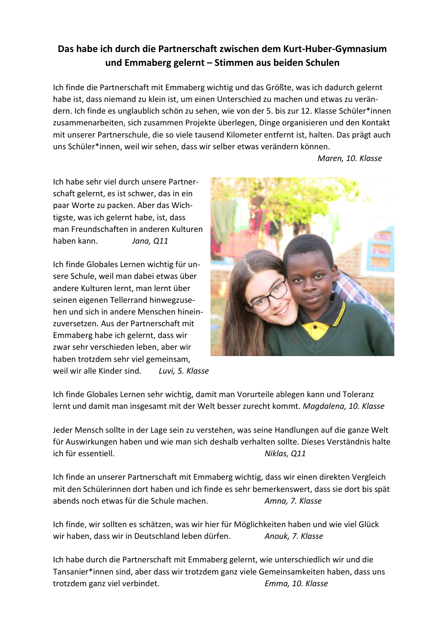## **Das habe ich durch die Partnerschaft zwischen dem Kurt-Huber-Gymnasium und Emmaberg gelernt – Stimmen aus beiden Schulen**

Ich finde die Partnerschaft mit Emmaberg wichtig und das Größte, was ich dadurch gelernt habe ist, dass niemand zu klein ist, um einen Unterschied zu machen und etwas zu verändern. Ich finde es unglaublich schön zu sehen, wie von der 5. bis zur 12. Klasse Schüler\*innen zusammenarbeiten, sich zusammen Projekte überlegen, Dinge organisieren und den Kontakt mit unserer Partnerschule, die so viele tausend Kilometer entfernt ist, halten. Das prägt auch uns Schüler\*innen, weil wir sehen, dass wir selber etwas verändern können.

*Maren, 10. Klasse*

Ich habe sehr viel durch unsere Partnerschaft gelernt, es ist schwer, das in ein paar Worte zu packen. Aber das Wichtigste, was ich gelernt habe, ist, dass man Freundschaften in anderen Kulturen haben kann. *Jana, Q11*

Ich finde Globales Lernen wichtig für unsere Schule, weil man dabei etwas über andere Kulturen lernt, man lernt über seinen eigenen Tellerrand hinwegzusehen und sich in andere Menschen hineinzuversetzen. Aus der Partnerschaft mit Emmaberg habe ich gelernt, dass wir zwar sehr verschieden leben, aber wir haben trotzdem sehr viel gemeinsam, weil wir alle Kinder sind*. Luvi, 5. Klasse*



Ich finde Globales Lernen sehr wichtig, damit man Vorurteile ablegen kann und Toleranz lernt und damit man insgesamt mit der Welt besser zurecht kommt. *Magdalena, 10. Klasse* 

Jeder Mensch sollte in der Lage sein zu verstehen, was seine Handlungen auf die ganze Welt für Auswirkungen haben und wie man sich deshalb verhalten sollte. Dieses Verständnis halte ich für essentiell. *Niklas, Q11*

Ich finde an unserer Partnerschaft mit Emmaberg wichtig, dass wir einen direkten Vergleich mit den Schülerinnen dort haben und ich finde es sehr bemerkenswert, dass sie dort bis spät abends noch etwas für die Schule machen. *Amna, 7. Klasse*

Ich finde, wir sollten es schätzen, was wir hier für Möglichkeiten haben und wie viel Glück wir haben, dass wir in Deutschland leben dürfen. *Anouk, 7. Klasse*

Ich habe durch die Partnerschaft mit Emmaberg gelernt, wie unterschiedlich wir und die Tansanier\*innen sind, aber dass wir trotzdem ganz viele Gemeinsamkeiten haben, dass uns trotzdem ganz viel verbindet. *Emma, 10. Klasse*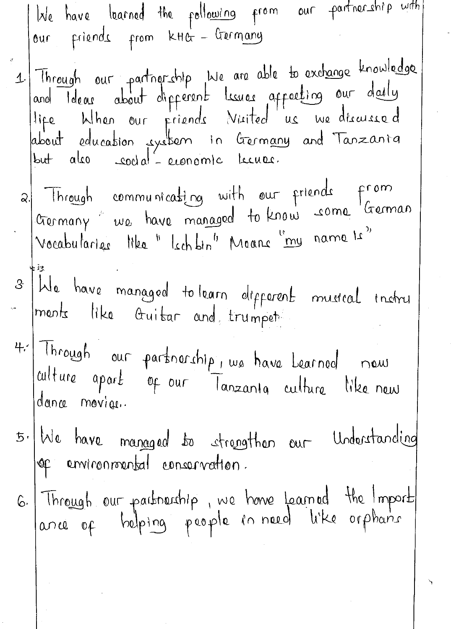| late have learned the following from our partnership with<br>our friends from KHG - Germany                                                                                                                               |
|---------------------------------------------------------------------------------------------------------------------------------------------------------------------------------------------------------------------------|
| 1 Through our partnership bie are able to exchange knowledge<br>and Ideas about different lisures affecting our daily<br>life bihen our friends Nisited us we discussed<br>about education system in Germany and Tanzania |
| 2. Through communicating with our friends from<br>Germany we have managed to know some German                                                                                                                             |
| 3 We have managed to learn different musical instru                                                                                                                                                                       |
| 4. Through our partnership, we have bearned now<br>alture apart of our Tanzanta culture like new<br>dance movieu.                                                                                                         |
| 5. We have managed to strengthen our Understanding<br>Jop environmental conservation.                                                                                                                                     |
| 6. Through our partnership, we have Learned the Import                                                                                                                                                                    |
|                                                                                                                                                                                                                           |